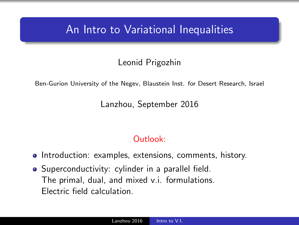### <span id="page-0-0"></span>An Intro to Variational Inequalities

#### Leonid Prigozhin

Ben-Gurion University of the Negev, Blaustein Inst. for Desert Research, Israel

Lanzhou, September 2016

#### Outlook:

- Introduction: examples, extensions, comments, history.
- Superconductivity: cylinder in a parallel field. The primal, dual, and mixed v.i. formulations. Electric field calculation.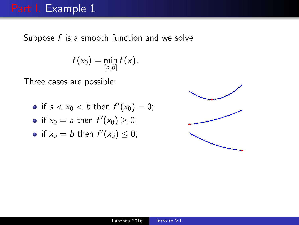## Part I. Example 1

Suppose  $f$  is a smooth function and we solve

$$
f(x_0)=\min_{[a,b]}f(x).
$$

Three cases are possible:

• if 
$$
a < x_0 < b
$$
 then  $f'(x_0) = 0$ ;

• if 
$$
x_0 = a
$$
 then  $f'(x_0) \ge 0$ ;

• if 
$$
x_0 = b
$$
 then  $f'(x_0) \leq 0$ ;

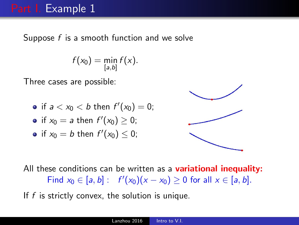# Part I. Example 1

Suppose f is a smooth function and we solve

$$
f(x_0)=\min_{[a,b]}f(x).
$$

Three cases are possible:

• if 
$$
a < x_0 < b
$$
 then  $f'(x_0) = 0$ ;

• if 
$$
x_0 = a
$$
 then  $f'(x_0) \ge 0$ ;

• if 
$$
x_0 = b
$$
 then  $f'(x_0) \leq 0$ ;



All these conditions can be written as a **variational inequality:** Find  $x_0 \in [a, b] : f'(x_0)(x - x_0) \ge 0$  for all  $x \in [a, b]$ .

If  $f$  is strictly convex, the solution is unique.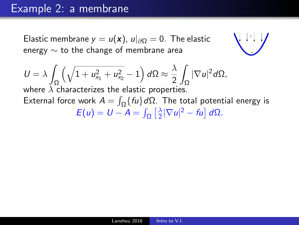#### Example 2: a membrane

Elastic membrane  $y = u(\mathbf{x})$ ,  $u|_{\partial\Omega} = 0$ . The elastic energy  $\sim$  to the change of membrane area



$$
U = \lambda \int_{\Omega} \left( \sqrt{1 + u_{x_1}^2 + u_{x_2}^2} - 1 \right) d\Omega \approx \frac{\lambda}{2} \int_{\Omega} |\nabla u|^2 d\Omega,
$$

where  $\lambda$  characterizes the elastic properties. External force work  $A = \int_{\Omega} \{ fu \} d\Omega$ . The total potential energy is  $E(u) = U - A = \int_{\Omega} \left[ \frac{\lambda}{2} \right]$  $\frac{\lambda}{2}|\nabla u|^2 - fu\,]d\Omega.$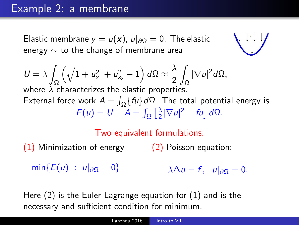#### Example 2: a membrane

Elastic membrane  $y = u(\mathbf{x})$ ,  $u|_{\partial\Omega} = 0$ . The elastic energy  $\sim$  to the change of membrane area

$$
U = \lambda \int_{\Omega} \left( \sqrt{1 + u_{x_1}^2 + u_{x_2}^2} - 1 \right) d\Omega \approx \frac{\lambda}{2} \int_{\Omega} |\nabla u|^2 d\Omega,
$$
  
where  $\lambda$  characterizes the elastic properties.

External force work  $A = \int_{\Omega} \{ fu \} d\Omega$ . The total potential energy is  $E(u) = U - A = \int_{\Omega} \left[ \frac{\lambda}{2} \right]$  $\frac{\lambda}{2}|\nabla u|^2 - fu\,]d\Omega.$ 

#### Two equivalent formulations:

(1) Minimization of energy (2) Poisson equation:

 $min{E(u) : u|_{\partial\Omega} = 0}$  $-\lambda \Delta u = f$ ,  $u|_{\partial \Omega} = 0$ .

Here (2) is the Euler-Lagrange equation for (1) and is the necessary and sufficient condition for minimum.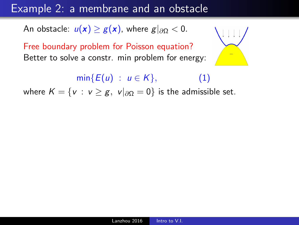### Example 2: a membrane and an obstacle

An obstacle:  $u(x) \geq g(x)$ , where  $g|_{\partial\Omega} < 0$ .

Free boundary problem for Poisson equation? Better to solve a constr. min problem for energy:

 $min{E(u) : u \in K},$  (1)

where  $K = \{v : v \ge g, v|_{\partial\Omega} = 0\}$  is the admissible set.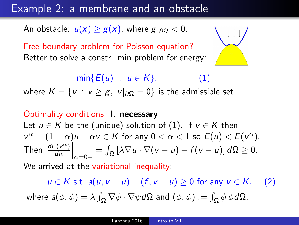### Example 2: a membrane and an obstacle

An obstacle:  $u(x) \geq g(x)$ , where  $g|_{\partial\Omega} < 0$ .

Free boundary problem for Poisson equation? Better to solve a constr. min problem for energy:

 $min{E(u) : u \in K}$ , (1)

where  $K = \{v : v \ge g, v|_{\partial\Omega} = 0\}$  is the admissible set.

#### Optimality conditions: I. necessary Let  $u \in K$  be the (unique) solution of (1). If  $v \in K$  then  $v^{\alpha} = (1 - \alpha)u + \alpha v \in K$  for any  $0 < \alpha < 1$  so  $E(u) < E(v^{\alpha})$ . Then  $\frac{dE(v^{\alpha})}{d\alpha}$  $\frac{\partial f(v^{\alpha})}{\partial \alpha}\Big|_{\alpha=0+} = \int_{\Omega} [\lambda \nabla u \cdot \nabla (v-u) - f(v-u)] d\Omega \geq 0.$

——————————————————————————

We arrived at the variational inequality:

 $u \in K$  s.t.  $a(u, v - u) - (f, v - u) \ge 0$  for any  $v \in K$ , (2) where  $\pmb{a}(\phi,\psi)=\lambda\int_\Omega\nabla\phi\cdot\nabla\psi\,d\Omega$  and  $(\phi,\psi):=\int_\Omega\phi\,\psi\,d\Omega.$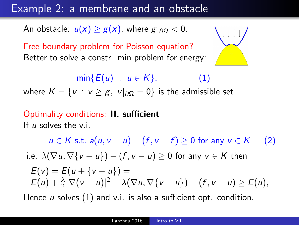### Example 2: a membrane and an obstacle

An obstacle:  $u(x) \geq g(x)$ , where  $g|_{\partial\Omega} < 0$ .

Free boundary problem for Poisson equation? Better to solve a constr. min problem for energy:

 $min{E(u) : u \in K}$ , (1)

where  $K = \{v : v \ge g, v|_{\partial\Omega} = 0\}$  is the admissible set.

——————————————————————————

#### Optimality conditions: II. sufficient If  $\mu$  solves the v.i.

 $u \in K$  s.t.  $a(u, v - u) - (f, v - f) > 0$  for any  $v \in K$  (2) i.e.  $\lambda(\nabla u, \nabla \{v - u\}) - (f, v - u) \geq 0$  for any  $v \in K$  then  $E(v) = E(u + \{v - u\}) =$  $E(u) + \frac{\lambda}{2} |\nabla (v - u)|^2 + \lambda (\nabla u, \nabla \{v - u\}) - (f, v - u) \ge E(u),$ 

Hence  $u$  solves  $(1)$  and v.i. is also a sufficient opt. condition.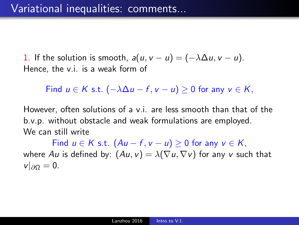1. If the solution is smooth,  $a(u, v - u) = (-\lambda \Delta u, v - u)$ . Hence, the v.i. is a weak form of

Find  $u \in K$  s.t.  $(-\lambda \Delta u - f, v - u) > 0$  for any  $v \in K$ ,

However, often solutions of a v.i. are less smooth than that of the b.v.p. without obstacle and weak formulations are employed. We can still write

Find  $u \in K$  s.t.  $(Au - f, v - u) \geq 0$  for any  $v \in K$ . where Au is defined by:  $(Au, v) = \lambda(\nabla u, \nabla v)$  for any v such that  $v|_{\partial\Omega}=0.$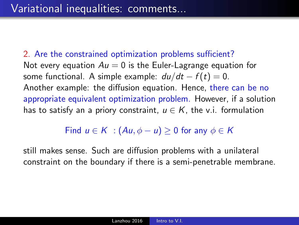2. Are the constrained optimization problems sufficient? Not every equation  $Au = 0$  is the Euler-Lagrange equation for some functional. A simple example:  $du/dt - f(t) = 0$ . Another example: the diffusion equation. Hence, there can be no appropriate equivalent optimization problem. However, if a solution has to satisfy an a priory constraint,  $u \in K$ , the v.i. formulation

Find  $u \in K$  :  $(Au, \phi - u) > 0$  for any  $\phi \in K$ 

still makes sense. Such are diffusion problems with a unilateral constraint on the boundary if there is a semi-penetrable membrane.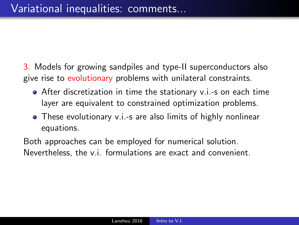- 3. Models for growing sandpiles and type-II superconductors also give rise to evolutionary problems with unilateral constraints.
	- After discretization in time the stationary v.i.-s on each time layer are equivalent to constrained optimization problems.
	- These evolutionary v.i.-s are also limits of highly nonlinear equations.

Both approaches can be employed for numerical solution. Nevertheless, the v.i. formulations are exact and convenient.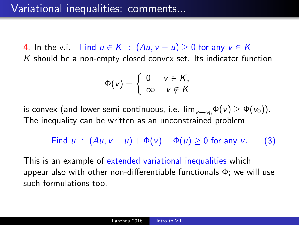4. In the v.i. Find  $u \in K$  :  $(Au, v - u) \ge 0$  for any  $v \in K$  $K$  should be a non-empty closed convex set. Its indicator function

$$
\Phi(v) = \left\{ \begin{array}{ll} 0 & v \in K, \\ \infty & v \notin K \end{array} \right.
$$

is convex (and lower semi-continuous, i.e.  $\underline{\lim}_{v\to v_0}\Phi(v) \geq \Phi(v_0)$ ). The inequality can be written as an unconstrained problem

Find 
$$
u : (Au, v - u) + \Phi(v) - \Phi(u) \ge 0
$$
 for any v. (3)

This is an example of extended variational inequalities which appear also with other non-differentiable functionals Φ; we will use such formulations too.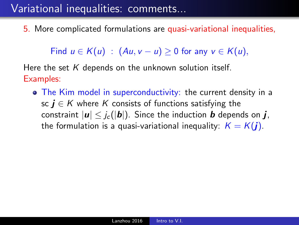# Variational inequalities: comments...

5. More complicated formulations are quasi-variational inequalities,

Find  $u \in K(u)$ :  $(Au, v - u) > 0$  for any  $v \in K(u)$ ,

Here the set  $K$  depends on the unknown solution itself. Examples:

• The Kim model in superconductivity: the current density in a sc  $i \in K$  where K consists of functions satisfying the constraint  $|\mathbf{u}| \leq j_c(|\mathbf{b}|)$ . Since the induction **b** depends on **j**, the formulation is a quasi-variational inequality:  $K = K(j)$ .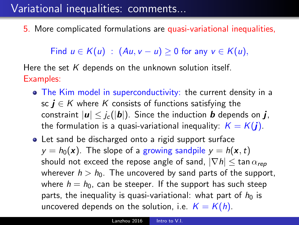# Variational inequalities: comments...

5. More complicated formulations are quasi-variational inequalities,

Find  $u \in K(u)$ :  $(Au, v - u) \ge 0$  for any  $v \in K(u)$ ,

Here the set  $K$  depends on the unknown solution itself. Examples:

- The Kim model in superconductivity: the current density in a sc  $i \in K$  where K consists of functions satisfying the constraint  $|\mathbf{u}| \leq j_c(|\mathbf{b}|)$ . Since the induction **b** depends on **j**, the formulation is a quasi-variational inequality:  $K = K(j)$ .
- Let sand be discharged onto a rigid support surface  $y = h_0(x)$ . The slope of a growing sandpile  $y = h(x, t)$ should not exceed the repose angle of sand,  $|\nabla h| \leq \tan \alpha_{\text{ren}}$ wherever  $h > h_0$ . The uncovered by sand parts of the support, where  $h = h_0$ , can be steeper. If the support has such steep parts, the inequality is quasi-variational: what part of  $h_0$  is uncovered depends on the solution, i.e.  $K = K(h)$ .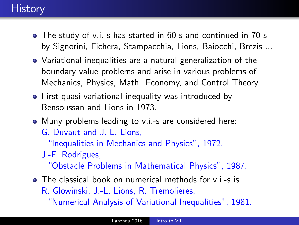# **History**

- The study of v.i.-s has started in 60-s and continued in 70-s by Signorini, Fichera, Stampacchia, Lions, Baiocchi, Brezis ...
- Variational inequalities are a natural generalization of the boundary value problems and arise in various problems of Mechanics, Physics, Math. Economy, and Control Theory.
- First quasi-variational inequality was introduced by Bensoussan and Lions in 1973.
- Many problems leading to v.i.-s are considered here:
	- G. Duvaut and J.-L. Lions,

"Inequalities in Mechanics and Physics", 1972.

J.-F. Rodrigues,

"Obstacle Problems in Mathematical Physics", 1987.

- The classical book on numerical methods for v.i.-s is
	- R. Glowinski, J.-L. Lions, R. Tremolieres,

"Numerical Analysis of Variational Inequalities", 1981.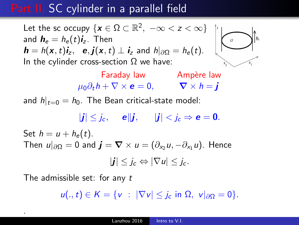# Part II. SC cylinder in a parallel field

Let the sc occupy  $\{{\boldsymbol x}\in {\Omega}\subset {\mathbb R}^2,\ -\infty < z < \infty\}$ and  $\textit{\textbf{h}}_{\sf e}=h_{\sf e}(t)\textit{\textbf{i}}_{\sf z}.$  Then  $\bm{h} = h(\bm{x},t)\bm{i}_z, \ \ \bm{e}, \bm{j}(\bm{x},t) \perp \bm{i}_z$  and  $h|_{\partial\Omega} = h_e(t)$ . In the cylinder cross-section  $\Omega$  we have:

> Faraday law Ampère law  $\mu_0 \partial_t h + \nabla \times \mathbf{e} = 0, \qquad \nabla \times h = \mathbf{i}$

and  $h|_{t=0} = h_0$ . The Bean critical-state model:

 $|j| \leq j_c$ ,  $e||j|$ ,  $|j| \leq j_c \Rightarrow e = 0$ . Set  $h = u + h_e(t)$ . Then  $u|_{\partial\Omega} = 0$  and  $\mathbf{j} = \nabla \times u = (\partial_{x_2} u, -\partial_{x_1} u)$ . Hence  $|j| \leq i_c \Leftrightarrow |\nabla u| \leq i_c$ .

The admissible set: for any t

.

 $u(.,t) \in K = \{v : |\nabla v| \leq i_c \text{ in } \Omega, v|_{\partial \Omega} = 0\}.$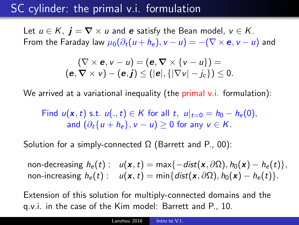# SC cylinder: the primal v.i. formulation

Let  $u \in K$ ,  $\mathbf{j} = \nabla \times u$  and e satisfy the Bean model,  $v \in K$ . From the Faraday law  $\mu_0(\partial_t(u+h_e), v-u) = -(\nabla \times \mathbf{e}, v-u)$  and

$$
(\nabla \times \mathbf{e}, \mathbf{v} - \mathbf{u}) = (\mathbf{e}, \nabla \times {\mathbf{v} - \mathbf{u}}) =
$$
  

$$
(\mathbf{e}, \nabla \times \mathbf{v}) - (\mathbf{e}, \mathbf{j}) \leq (|\mathbf{e}|, {\{|\nabla \mathbf{v}| - j_c\}}) \leq 0.
$$

We arrived at a variational inequality (the primal v.i. formulation):

Find  $u(\mathbf{x},t)$  s.t.  $u(.,t) \in K$  for all t,  $u|_{t=0} = h_0 - h_e(0)$ , and  $(\partial_t \{u + h_e\}, v - u) > 0$  for any  $v \in K$ .

Solution for a simply-connected  $\Omega$  (Barrett and P., 00):

non-decreasing  $h_e(t)$ :  $u(\mathbf{x},t) = \max\{-\text{dist}(\mathbf{x},\partial\Omega), h_0(\mathbf{x}) - h_e(t)\},$ non-increasing  $h_e(t)$ :  $u(\mathbf{x}, t) = \min\{dist(\mathbf{x}, \partial\Omega), h_0(\mathbf{x}) - h_e(t)\}.$ 

Extension of this solution for multiply-connected domains and the q.v.i. in the case of the Kim model: Barrett and P., 10.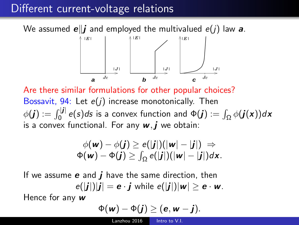# Different current-voltage relations

We assumed  $e||j$  and employed the multivalued  $e(j)$  law a.



Are there similar formulations for other popular choices? Bossavit, 94: Let  $e(j)$  increase monotonically. Then  $\phi(\bm{j}):=\int_0^{|\bm{j}|}e(s)ds$  is a convex function and  $\Phi(\bm{j}):=\int_\Omega \phi(\bm{j}(\bm{\mathsf{x}}))d\bm{\mathsf{x}}$ is a convex functional. For any  $w, j$  we obtain:

$$
\phi(\mathbf{w}) - \phi(\mathbf{j}) \geq e(|\mathbf{j}|)(|\mathbf{w}| - |\mathbf{j}|) \Rightarrow \n\Phi(\mathbf{w}) - \Phi(\mathbf{j}) \geq \int_{\Omega} e(|\mathbf{j}|)(|\mathbf{w}| - |\mathbf{j}|)d\mathbf{x}.
$$

If we assume  $e$  and  $i$  have the same direction, then  $e(|j|)|j| = e \cdot j$  while  $e(|j|)|w| \ge e \cdot w$ .

Hence for any  $w$ 

$$
\Phi(w)-\Phi(j)\geq (\mathbf{e},w-j).
$$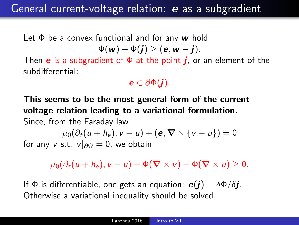# General current-voltage relation: e as a subgradient

Let  $\Phi$  be a convex functional and for any w hold  $\Phi(w) - \Phi(j) \geq (e, w - j).$ 

Then **e** is a subgradient of  $\Phi$  at the point **j**, or an element of the subdifferential:

 $e \in \partial \Phi(i)$ .

This seems to be the most general form of the current voltage relation leading to a variational formulation. Since, from the Faraday law

 $\mu_0(\partial_t(u+h_e), v-u) + (\mathbf{e}, \nabla \times \{v-u\}) = 0$ for any v s.t.  $v|_{\partial\Omega} = 0$ , we obtain

 $\mu_0(\partial_t(u+h_\epsilon),v-u)+\Phi(\nabla\times v)-\Phi(\nabla\times u)\geq 0.$ 

If  $\Phi$  is differentiable, one gets an equation:  $\mathbf{e}(i) = \delta \Phi / \delta i$ . Otherwise a variational inequality should be solved.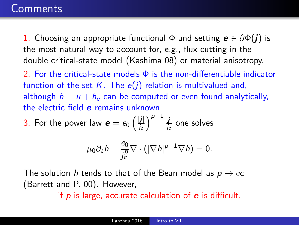### **Comments**

1. Choosing an appropriate functional  $\Phi$  and setting  $\mathbf{e} \in \partial \Phi(\mathbf{i})$  is the most natural way to account for, e.g., flux-cutting in the double critical-state model (Kashima 08) or material anisotropy.

2. For the critical-state models  $\Phi$  is the non-differentiable indicator function of the set  $K$ . The  $e(j)$  relation is multivalued and, although  $h = u + h_e$  can be computed or even found analytically, the electric field e remains unknown.

3. For the power law  $\bm{e} = e_0 \left( \frac{|\bm{j}|}{\sqrt{2}} \right)$  $\frac{|j|}{j_c}\Big)^{\rho-1}\frac{j}{j_c}$  $\frac{1}{j_c}$  one solves

$$
\mu_0 \partial_t h - \frac{e_0}{j_c^p} \nabla \cdot (|\nabla h|^{p-1} \nabla h) = 0.
$$

The solution h tends to that of the Bean model as  $p \to \infty$ (Barrett and P. 00). However,

if  $p$  is large, accurate calculation of  $e$  is difficult.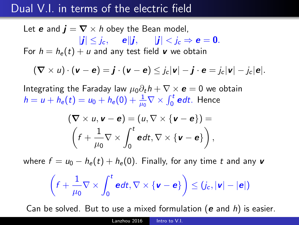# Dual V.I. in terms of the electric field

Let **e** and  $\mathbf{j} = \nabla \times \mathbf{h}$  obey the Bean model,  $|j| \leq i_c$ ,  $e||j|$ ,  $|j| \leq i_c \Rightarrow e = 0$ . For  $h = h_e(t) + u$  and any test field v we obtain

$$
(\boldsymbol{\nabla}\times\boldsymbol{u})\cdot(\boldsymbol{v}-\boldsymbol{e})=\boldsymbol{j}\cdot(\boldsymbol{v}-\boldsymbol{e})\leq j_c|\boldsymbol{v}|-\boldsymbol{j}\cdot\boldsymbol{e}=j_c|\boldsymbol{v}|-j_c|\boldsymbol{e}|.
$$

Integrating the Faraday law  $\mu_0 \partial_t h + \nabla \times \mathbf{e} = 0$  we obtain  $h=u+h_e(t)=u_0+h_e(0)+\frac{1}{\mu_0}\nabla\times\int_0^t\bm{e}dt.$  Hence

$$
(\nabla \times u, \mathbf{v} - \mathbf{e}) = (u, \nabla \times {\mathbf{v} - \mathbf{e}}) =
$$

$$
(f + \frac{1}{\mu_0} \nabla \times \int_0^t \mathbf{e} dt, \nabla \times {\mathbf{v} - \mathbf{e}}),
$$

where  $f = u_0 - h_e(t) + h_e(0)$ . Finally, for any time t and any v

$$
\left(f + \frac{1}{\mu_0} \nabla \times \int_0^t \mathbf{e} dt, \nabla \times \{\mathbf{v} - \mathbf{e}\}\right) \leq (j_c, |\mathbf{v}| - |\mathbf{e}|)
$$

Can be solved. But to use a mixed formulation ( $e$  and  $h$ ) is easier.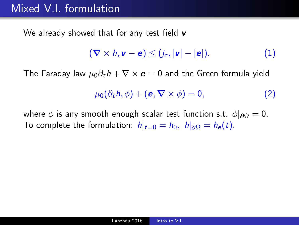# Mixed V.I. formulation

We already showed that for any test field  $\boldsymbol{v}$ 

$$
(\nabla \times h, \mathbf{v} - \mathbf{e}) \leq (j_c, |\mathbf{v}| - |\mathbf{e}|). \tag{1}
$$

The Faraday law  $\mu_0 \partial_t h + \nabla \times \mathbf{e} = 0$  and the Green formula yield

$$
\mu_0(\partial_t h, \phi) + (\mathbf{e}, \nabla \times \phi) = 0, \tag{2}
$$

where  $\phi$  is any smooth enough scalar test function s.t.  $\phi|_{\partial\Omega} = 0$ . To complete the formulation:  $h|_{t=0} = h_0$ ,  $h|_{\partial\Omega} = h_e(t)$ .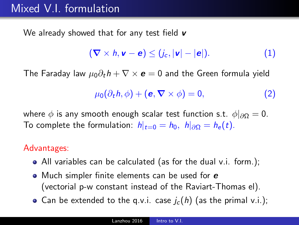# Mixed V.I. formulation

We already showed that for any test field  $\boldsymbol{v}$ 

$$
(\nabla \times h, \mathbf{v} - \mathbf{e}) \leq (j_c, |\mathbf{v}| - |\mathbf{e}|). \tag{1}
$$

The Faraday law  $\mu_0 \partial_t h + \nabla \times \mathbf{e} = 0$  and the Green formula vield

$$
\mu_0(\partial_t h, \phi) + (\mathbf{e}, \nabla \times \phi) = 0, \tag{2}
$$

where  $\phi$  is any smooth enough scalar test function s.t.  $\phi|_{\partial\Omega} = 0$ . To complete the formulation:  $h|_{t=0} = h_0$ ,  $h|_{\partial\Omega} = h_e(t)$ .

#### Advantages:

- All variables can be calculated (as for the dual v.i. form.);
- $\bullet$  Much simpler finite elements can be used for  $\bm{e}$ (vectorial p-w constant instead of the Raviart-Thomas el).
- Can be extended to the q.v.i. case  $j_c(h)$  (as the primal v.i.);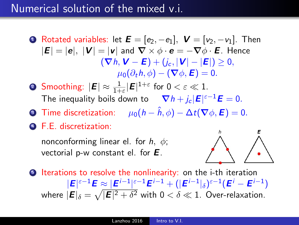#### Numerical solution of the mixed v.i.

- **1** Rotated variables: let  $\boldsymbol{E} = [e_2, -e_1]$ ,  $\boldsymbol{V} = [v_2, -v_1]$ . Then  $|E| = |e|$ ,  $|V| = |v|$  and  $\nabla \times \phi \cdot e = -\nabla \phi \cdot E$ . Hence  $(\nabla h, V - E) + (i_c, |V| - |E|) > 0.$  $\mu_0(\partial_t h, \phi) - (\nabla \phi, \mathbf{E}) = 0.$
- **2** Smoothing:  $|\mathbf{E}| \approx \frac{1}{1+\varepsilon} |\mathbf{E}|^{1+\varepsilon}$  for  $0 < \varepsilon \ll 1$ . The inequality boils down to  $\nabla h + j_c |\boldsymbol{E}|^{\varepsilon-1} \boldsymbol{E} = 0.$
- **3** Time discretization:  $\mu_0(h \hat{h}, \phi) \Delta t(\nabla \phi, \mathbf{E}) = 0.$
- <sup>4</sup> F.E. discretization:

nonconforming linear el. for  $h, \phi$ ; vectorial p-w constant el. for  $E$ .



**5** Iterations to resolve the nonlinearity: on the i-th iteration  $|\bm{\mathsf{E}}|^{\varepsilon-1}\bm{\mathsf{E}} \approx |\bm{\mathsf{E}}^{i-1}|^{\varepsilon-1}\bm{\mathsf{E}}^{i-1} + (|\bm{\mathsf{E}}^{i-1}|_{\delta})^{\varepsilon-1}(\bm{\mathsf{E}}^{i}-\bm{\mathsf{E}}^{i-1})$ where  $|\bm E|_{\delta} = \sqrt{|\bm E|^2 + \delta^2}$  with  $0 < \delta \ll 1$ . Over-relaxation.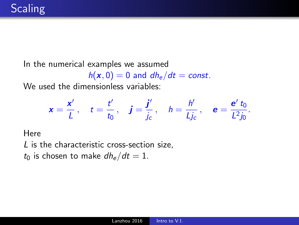In the numerical examples we assumed

 $h(x, 0) = 0$  and  $dh_e/dt = const.$ 

We used the dimensionless variables:

$$
\mathbf{x} = \frac{\mathbf{x}'}{L}, \quad t = \frac{t'}{t_0}, \quad \mathbf{j} = \frac{\mathbf{j}'}{j_c}, \quad h = \frac{h'}{Lj_c}, \quad \mathbf{e} = \frac{\mathbf{e}' t_0}{L^2 j_0}.
$$

**Here** 

L is the characteristic cross-section size,

 $t_0$  is chosen to make  $dh_e/dt = 1$ .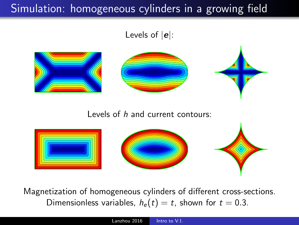# Simulation: homogeneous cylinders in a growing field

Levels of  $|e|$ :



Levels of h and current contours:



Magnetization of homogeneous cylinders of different cross-sections. Dimensionless variables,  $h_e(t) = t$ , shown for  $t = 0.3$ .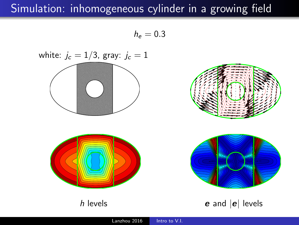# Simulation: inhomogeneous cylinder in a growing field

 $h_e = 0.3$ 

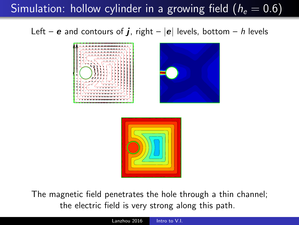Simulation: hollow cylinder in a growing field ( $h_e = 0.6$ )

Left – **e** and contours of **j**, right –  $|e|$  levels, bottom – h levels





The magnetic field penetrates the hole through a thin channel; the electric field is very strong along this path.